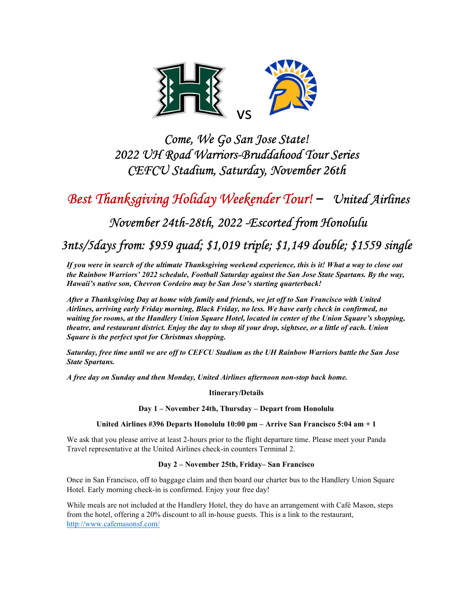

## Come, We Go San Jose State! 2022 UH Road Warriors-Bruddahood Tour Series CEFCU Stadium, Saturday, November 26th

## Best Thanksgiving Holiday Weekender Tour! – United Airlines

### November 24th-28th, 2022 -Escorted from Honolulu

### 3nts/5days from: \$959 quad; \$1,019 triple; \$1,149 double; \$1559 single

If you were in search of the ultimate Thanksgiving weekend experience, this is it! What a way to close out the Rainbow Warriors' 2022 schedule, Football Saturday against the San Jose State Spartans. By the way, Hawaii's native son, Chevron Cordeiro may be San Jose's starting quarterback!

After a Thanksgiving Day at home with family and friends, we jet off to San Francisco with United Airlines, arriving early Friday morning, Black Friday, no less. We have early check in confirmed, no waiting for rooms, at the Handlery Union Square Hotel, located in center of the Union Square's shopping, theatre, and restaurant district. Enjoy the day to shop til your drop, sightsee, or a little of each. Union Square is the perfect spot for Christmas shopping.

Saturday, free time until we are off to CEFCU Stadium as the UH Rainbow Warriors battle the San Jose State Spartans.

A free day on Sunday and then Monday, United Airlines afternoon non-stop back home.

Itinerary/Details

Day 1 – November 24th, Thursday – Depart from Honolulu

United Airlines #396 Departs Honolulu 10:00 pm – Arrive San Francisco 5:04 am + 1

We ask that you please arrive at least 2-hours prior to the flight departure time. Please meet your Panda Travel representative at the United Airlines check-in counters Terminal 2.

#### Day 2 – November 25th, Friday– San Francisco

Once in San Francisco, off to baggage claim and then board our charter bus to the Handlery Union Square Hotel. Early morning check-in is confirmed. Enjoy your free day!

While meals are not included at the Handlery Hotel, they do have an arrangement with Café Mason, steps from the hotel, offering a 20% discount to all in-house guests. This is a link to the restaurant, http://www.cafemasonsf.com/